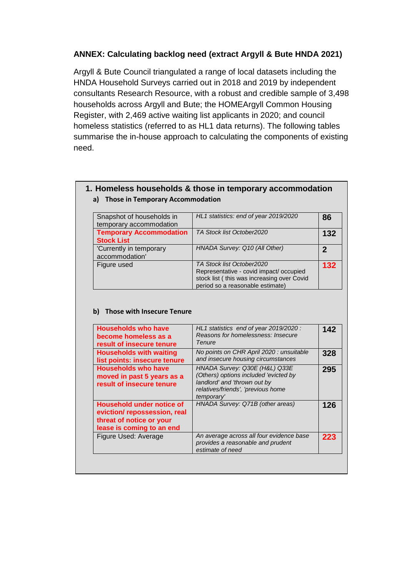## **ANNEX: Calculating backlog need (extract Argyll & Bute HNDA 2021)**

Argyll & Bute Council triangulated a range of local datasets including the HNDA Household Surveys carried out in 2018 and 2019 by independent consultants Research Resource, with a robust and credible sample of 3,498 households across Argyll and Bute; the HOMEArgyll Common Housing Register, with 2,469 active waiting list applicants in 2020; and council homeless statistics (referred to as HL1 data returns). The following tables summarise the in-house approach to calculating the components of existing need.

### **1. Homeless households & those in temporary accommodation a) Those in Temporary Accommodation**

| Snapshot of households in      | HL1 statistics: end of year 2019/2020      | 86  |
|--------------------------------|--------------------------------------------|-----|
| temporary accommodation        |                                            |     |
| <b>Temporary Accommodation</b> | TA Stock list October2020                  | 132 |
| <b>Stock List</b>              |                                            |     |
| 'Currently in temporary        | HNADA Survey: Q10 (All Other)              | 2   |
| accommodation'                 |                                            |     |
| Figure used                    | TA Stock list October2020                  | 132 |
|                                | Representative - covid impact/ occupied    |     |
|                                | stock list (this was increasing over Covid |     |
|                                | period so a reasonable estimate)           |     |

### **b) Those with Insecure Tenure**

| <b>Households who have</b><br>become homeless as a<br>result of insecure tenure                                          | HL1 statistics end of year 2019/2020:<br>Reasons for homelessness: Insecure<br>Tenure                                                                      | 142 |
|--------------------------------------------------------------------------------------------------------------------------|------------------------------------------------------------------------------------------------------------------------------------------------------------|-----|
| <b>Households with waiting</b><br>list points: insecure tenure                                                           | No points on CHR April 2020 : unsuitable<br>and insecure housing circumstances                                                                             | 328 |
| <b>Households who have</b><br>moved in past 5 years as a<br>result of insecure tenure                                    | HNADA Survey: Q30E (H&L) Q33E<br>(Others) options included 'evicted by<br>landlord' and 'thrown out by<br>relatives/friends', 'previous home<br>temporary' | 295 |
| <b>Household under notice of</b><br>eviction/repossession, real<br>threat of notice or your<br>lease is coming to an end | HNADA Survey: Q71B (other areas)                                                                                                                           | 126 |
| Figure Used: Average                                                                                                     | An average across all four evidence base<br>provides a reasonable and prudent<br>estimate of need                                                          | 223 |
|                                                                                                                          |                                                                                                                                                            |     |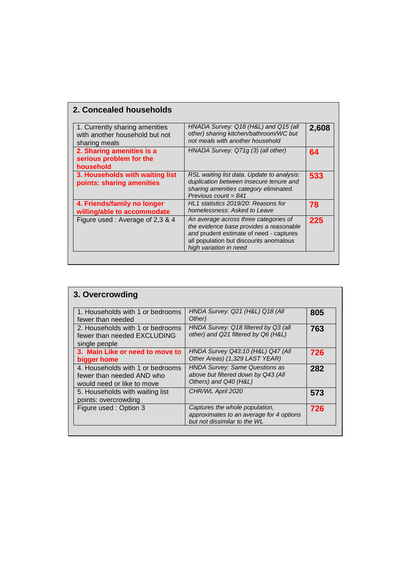| 2. Concealed households                                                           |                                                                                                                                                                                                 |       |
|-----------------------------------------------------------------------------------|-------------------------------------------------------------------------------------------------------------------------------------------------------------------------------------------------|-------|
| 1. Currently sharing amenities<br>with another household but not<br>sharing meals | HNADA Survey: Q18 (H&L) and Q15 (all<br>other) sharing kitchen/bathroom/WC but<br>not meals with another household                                                                              | 2,608 |
| 2. Sharing amenities is a<br>serious problem for the<br>household                 | HNADA Survey: Q71g (3) (all other)                                                                                                                                                              | 64    |
| 3. Households with waiting list<br>points: sharing amenities                      | RSL waiting list data. Update to analysis:<br>duplication between insecure tenure and<br>sharing amenities category eliminated.<br>Previous count = $841$                                       | 533   |
| 4. Friends/family no longer<br>willing/able to accommodate                        | HL1 statistics 2019/20: Reasons for<br>homelessness: Asked to Leave                                                                                                                             | 78    |
| Figure used: Average of 2,3 & 4                                                   | An average across three categories of<br>the evidence base provides a reasonable<br>and prudent estimate of need - captures<br>all population but discounts anomalous<br>high variation in need | 225   |

| 3. Overcrowding                                                                             |                                                                                                            |     |
|---------------------------------------------------------------------------------------------|------------------------------------------------------------------------------------------------------------|-----|
| 1. Households with 1 or bedrooms<br>fewer than needed                                       | HNDA Survey: Q21 (H&L) Q18 (All<br>Other)                                                                  | 805 |
| 2. Households with 1 or bedrooms<br>fewer than needed EXCLUDING<br>single people            | HNDA Survey: Q18 filtered by Q3 (all<br>other) and Q21 filtered by Q6 (H&L)                                | 763 |
| 3. Main Like or need to move to<br>bigger home                                              | HNDA Survey Q43:10 (H&L) Q47 (All<br>Other Areas) (1,329 LAST YEAR)                                        | 726 |
| 4. Households with 1 or bedrooms<br>fewer than needed AND who<br>would need or like to move | <b>HNDA Survey: Same Questions as</b><br>above but filtered down by Q43 (All<br>Others) and Q40 (H&L)      | 282 |
| 5. Households with waiting list<br>points: overcrowding                                     | CHR/WL April 2020                                                                                          | 573 |
| Figure used: Option 3                                                                       | Captures the whole population,<br>approximates to an average for 4 options<br>but not dissimilar to the WL | 726 |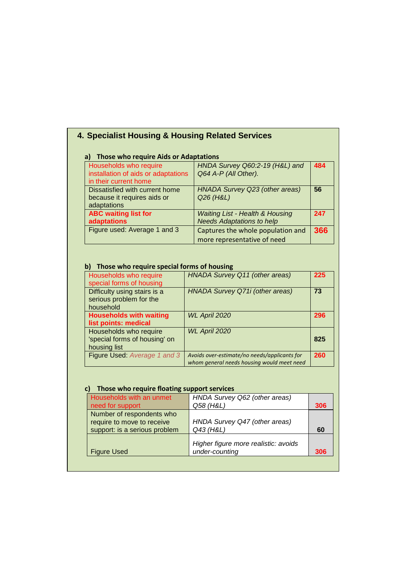# **4. Specialist Housing & Housing Related Services**

| Those who require Aids or Adaptations<br>a)                   |                                                        |     |
|---------------------------------------------------------------|--------------------------------------------------------|-----|
| Households who require<br>installation of aids or adaptations | HNDA Survey Q60:2-19 (H&L) and<br>Q64 A-P (All Other). | 484 |
| in their current home                                         |                                                        |     |
| Dissatisfied with current home                                | HNADA Survey Q23 (other areas)                         | 56  |
| because it requires aids or<br>adaptations                    | Q26 (H&L)                                              |     |
| <b>ABC waiting list for</b>                                   | <b>Waiting List - Health &amp; Housing</b>             | 247 |
| <b>adaptations</b>                                            | <b>Needs Adaptations to help</b>                       |     |
| Figure used: Average 1 and 3                                  | Captures the whole population and                      | 366 |
|                                                               | more representative of need                            |     |

### **b) Those who require special forms of housing**

| <b>HNADA Survey Q11 (other areas)</b>        | 225                                                                                  |
|----------------------------------------------|--------------------------------------------------------------------------------------|
|                                              | 73                                                                                   |
|                                              |                                                                                      |
|                                              |                                                                                      |
| WL April 2020                                | 296                                                                                  |
|                                              |                                                                                      |
| WL April 2020                                |                                                                                      |
|                                              | 825                                                                                  |
|                                              |                                                                                      |
| Avoids over-estimate/no needs/applicants for | 260                                                                                  |
|                                              | <b>HNADA Survey Q71i (other areas)</b><br>whom general needs housing would meet need |

### **c) Those who require floating support services**

| Households with an unmet<br>need for support                                             | HNDA Survey Q62 (other areas)<br>Q58 (H&L)             | 306 |
|------------------------------------------------------------------------------------------|--------------------------------------------------------|-----|
| Number of respondents who<br>require to move to receive<br>support: is a serious problem | HNDA Survey Q47 (other areas)<br>Q43 (H&L)             | 60  |
| <b>Figure Used</b>                                                                       | Higher figure more realistic: avoids<br>under-counting | 306 |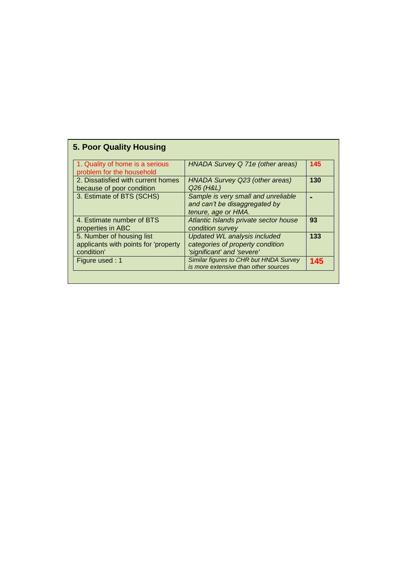| <b>5. Poor Quality Housing</b>                                                  |                                                                                                       |     |
|---------------------------------------------------------------------------------|-------------------------------------------------------------------------------------------------------|-----|
| 1. Quality of home is a serious<br>problem for the household                    | HNADA Survey Q 71e (other areas)                                                                      | 145 |
| 2. Dissatisfied with current homes<br>because of poor condition                 | HNADA Survey Q23 (other areas)<br>Q26 (H&L)                                                           | 130 |
| 3. Estimate of BTS (SCHS)                                                       | Sample is very small and unreliable<br>and can't be disaggregated by<br>tenure, age or HMA.           |     |
| 4. Estimate number of BTS<br>properties in ABC                                  | Atlantic Islands private sector house<br>condition survey                                             | 93  |
| 5. Number of housing list<br>applicants with points for 'property<br>condition' | <b>Updated WL analysis included</b><br>categories of property condition<br>'significant' and 'severe' | 133 |
| Figure used: 1                                                                  | Similar figures to CHR but HNDA Survey<br>is more extensive than other sources                        | 145 |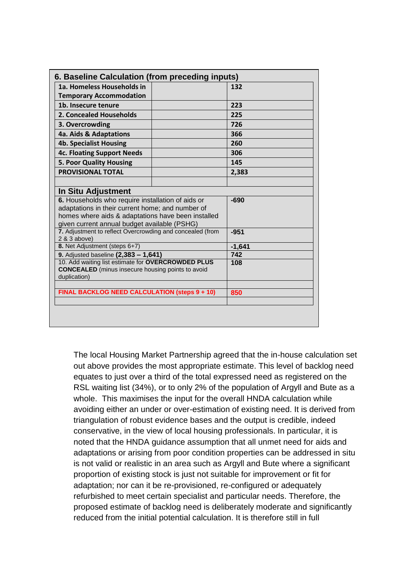| 1a. Homeless Households in                                                                                                                                                                                  | 132      |
|-------------------------------------------------------------------------------------------------------------------------------------------------------------------------------------------------------------|----------|
| <b>Temporary Accommodation</b>                                                                                                                                                                              |          |
| 1b. Insecure tenure                                                                                                                                                                                         | 223      |
| 2. Concealed Households                                                                                                                                                                                     | 225      |
| 3. Overcrowding                                                                                                                                                                                             | 726      |
| 4a. Aids & Adaptations                                                                                                                                                                                      | 366      |
| <b>4b. Specialist Housing</b>                                                                                                                                                                               | 260      |
| <b>4c. Floating Support Needs</b>                                                                                                                                                                           | 306      |
| <b>5. Poor Quality Housing</b>                                                                                                                                                                              | 145      |
| <b>PROVISIONAL TOTAL</b>                                                                                                                                                                                    | 2,383    |
|                                                                                                                                                                                                             |          |
| In Situ Adjustment                                                                                                                                                                                          |          |
| 6. Households who require installation of aids or<br>adaptations in their current home; and number of<br>homes where aids & adaptations have been installed<br>given current annual budget available (PSHG) | $-690$   |
| 7. Adjustment to reflect Overcrowding and concealed (from<br>2 & 3 above)                                                                                                                                   | $-951$   |
| 8. Net Adjustment (steps 6+7)                                                                                                                                                                               | $-1,641$ |
| 9. Adjusted baseline (2,383 - 1,641)                                                                                                                                                                        | 742      |
| 10. Add waiting list estimate for OVERCROWDED PLUS<br><b>CONCEALED</b> (minus insecure housing points to avoid<br>duplication)                                                                              | 108      |
|                                                                                                                                                                                                             | 850      |

The local Housing Market Partnership agreed that the in-house calculation set out above provides the most appropriate estimate. This level of backlog need equates to just over a third of the total expressed need as registered on the RSL waiting list (34%), or to only 2% of the population of Argyll and Bute as a whole. This maximises the input for the overall HNDA calculation while avoiding either an under or over-estimation of existing need. It is derived from triangulation of robust evidence bases and the output is credible, indeed conservative, in the view of local housing professionals. In particular, it is noted that the HNDA guidance assumption that all unmet need for aids and adaptations or arising from poor condition properties can be addressed in situ is not valid or realistic in an area such as Argyll and Bute where a significant proportion of existing stock is just not suitable for improvement or fit for adaptation; nor can it be re-provisioned, re-configured or adequately refurbished to meet certain specialist and particular needs. Therefore, the proposed estimate of backlog need is deliberately moderate and significantly reduced from the initial potential calculation. It is therefore still in full